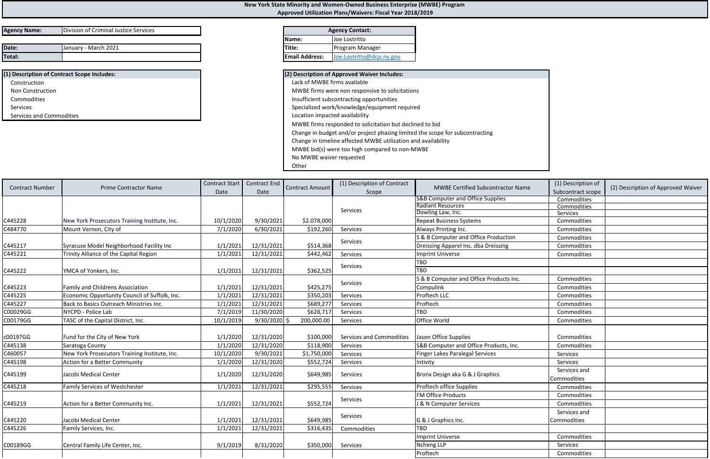| <b>Agency Name:</b> | Division of Criminal Justice Services |
|---------------------|---------------------------------------|
|                     |                                       |

| Date:  | .2021<br>- March<br>Januarv | <b>ITitle:</b>                     | <b>IProgram</b><br>, Manager |
|--------|-----------------------------|------------------------------------|------------------------------|
| Total: |                             | $\cdots$<br><b>IEmail Address:</b> | <b>JO</b>                    |
|        |                             |                                    |                              |

| (1) Description of Contract Scope Includes: | (2) Description of Approved Waiver Includes:    |
|---------------------------------------------|-------------------------------------------------|
| Construction                                | Lack of MWBE firms available                    |
| <b>Non Construction</b>                     | MWBE firms were non responsive to solicitations |
| Commodities                                 | Insufficient subcontracting opportunities       |
| <b>Services</b>                             | Specialized work/knowledge/equipment required   |
| Services and Commodities                    | Location impacted availability                  |

| ) Description of Approved Waiver Includes:                                   |
|------------------------------------------------------------------------------|
| Lack of MWBE firms available                                                 |
| MWBE firms were non responsive to solicitations                              |
| Insufficient subcontracting opportunities                                    |
| Specialized work/knowledge/equipment required                                |
| Location impacted availability                                               |
| MWBE firms responded to solicitation but declined to bid                     |
| Change in budget and/or project phasing limited the scope for subcontracting |
| Change in timeline affected MWBE utilization and availability                |
| MWBE bid(s) were too high compared to non-MWBE                               |
| No MWBE waiver requested                                                     |
| Other                                                                        |

| <b>Agency Contact:</b>            |                           |  |  |  |  |
|-----------------------------------|---------------------------|--|--|--|--|
| Joe Lostritto<br>Name:            |                           |  |  |  |  |
| <b>ITitle:</b><br>Program Manager |                           |  |  |  |  |
| <b>Email Address:</b>             | Joe.Lostritto@dcjs.ny.gov |  |  |  |  |

|                        | <b>Prime Contractor Name</b>                  |           | Contract Start   Contract End<br>Date | <b>Contract Amount</b> | (1) Description of Contract     |                                             |                             | (1) Description of<br>(2) Description of Approved Waiver |
|------------------------|-----------------------------------------------|-----------|---------------------------------------|------------------------|---------------------------------|---------------------------------------------|-----------------------------|----------------------------------------------------------|
| <b>Contract Number</b> |                                               | Date      |                                       |                        | Scope                           | <b>MWBE Certified Subcontractor Name</b>    | Subcontract scope           |                                                          |
|                        |                                               |           |                                       |                        |                                 | <b>S&amp;B Computer and Office Supplies</b> | Commodities                 |                                                          |
|                        |                                               |           |                                       |                        |                                 | <b>Radiant Resources</b>                    | Commodities                 |                                                          |
|                        |                                               |           |                                       |                        | Services                        | Dowling Law, Inc.                           | Services                    |                                                          |
| C445228                | New York Prosecutors Training Institute, Inc. | 10/1/2020 | 9/30/2021                             | \$2.078,000            |                                 | <b>Repeat Business Systems</b>              | Commodities                 |                                                          |
| C484770                | Mount Vernon, City of                         | 7/1/2020  | 6/30/2021                             | \$192,260              | Services                        | Always Printing Inc.                        | Commodities                 |                                                          |
|                        |                                               |           |                                       |                        | Services                        | S & B Computer and Office Production        | Commodities                 |                                                          |
| C445217                | Syracuse Model Neighborhood Facility Inc      | 1/1/2021  | 12/31/2021                            | \$514,368              |                                 | Dreissing Apparel Inc. dba Dreissing        | Commodities                 |                                                          |
| C445221                | Trinity Alliance of the Capital Region        | 1/1/2021  | 12/31/2021                            | \$442,462              | Services                        | <b>Imprint Universe</b>                     | Commodities                 |                                                          |
|                        |                                               |           |                                       |                        |                                 | TBD                                         |                             |                                                          |
| C445222                | YMCA of Yonkers, Inc.                         | 1/1/2021  | 12/31/2021                            | \$362,525              | <b>Services</b>                 | <b>TBD</b>                                  |                             |                                                          |
|                        |                                               |           |                                       |                        |                                 | S & B Computer and Office Products Inc.     | Commodities                 |                                                          |
| C445223                | <b>Family and Childrens Association</b>       | 1/1/2021  | 12/31/2021                            | \$425,275              | Services                        | Compulink                                   | Commodities                 |                                                          |
| C445225                | Economic Opportunity Council of Suffolk, Inc. | 1/1/2021  | 12/31/2021                            | \$350,203              | Services                        | Proftech LLC                                | Commodities                 |                                                          |
| C445227                | Back to Basics Outreach Ministries Inc.       | 1/1/2021  | 12/31/2021                            | \$689,277              | Services                        | Proftech                                    | Commodities                 |                                                          |
| C00029GG               | NYCPD - Police Lab                            | 7/1/2019  | 11/30/2020                            | \$628,717              | Services                        | <b>TBD</b>                                  | Commodities                 |                                                          |
| C00179GG               | TASC of the Capital District, Inc.            | 10/1/2019 | $9/30/2020$ \$                        | 200,000.00             | Services                        | Office World                                | Commodities                 |                                                          |
|                        |                                               |           |                                       |                        |                                 |                                             |                             |                                                          |
| c00197GG               | Fund for the City of New York                 | 1/1/2020  | 12/31/2020                            | \$100,000              | <b>Services and Commodities</b> | Jason Office Supplies                       | Commodities                 |                                                          |
| C445138                | Saratoga County                               | 1/1/2020  | 12/31/2020                            | \$118,900              | Services                        | S&B Computer and Office Products, Inc.      | Commodities                 |                                                          |
| C460057                | New York Prosecutors Training Institute, Inc. | 10/1/2020 | 9/30/2021                             | \$1,750,000            | Services                        | <b>Finger Lakes Paralegal Services</b>      | Services                    |                                                          |
| C445198                | <b>Action for a Better Community</b>          | 1/1/2020  | 12/31/2020                            | \$552,724              | Services                        | Intivity                                    | Services                    |                                                          |
| C445199                | Jacobi Medical Center                         | 1/1/2020  | 12/31/2020                            | \$649,985              | Services                        | Bronx Design aka G & J Graphics             | Services and<br>Commodities |                                                          |
| C445218                | <b>Family Services of Westchester</b>         | 1/1/2021  | 12/31/2021                            | \$295,555              | Services                        | Proftech office Supplies                    | Commodities                 |                                                          |
|                        |                                               |           |                                       |                        |                                 | <b>FM Office Products</b>                   | Commodities                 |                                                          |
| C445219                | Action for a Better Community Inc.            | 1/1/2021  | 12/31/2021                            | \$552,724              | Services                        | J & N Computer Services                     | Commodities                 |                                                          |
|                        |                                               |           |                                       |                        |                                 |                                             | Services and                |                                                          |
| C445220                | Jacobi Medical Center                         | 1/1/2021  | 12/31/2021                            | \$649,985              | Services                        | G & J Graphics Inc.                         | Commodities                 |                                                          |
| C445226                | Family Services, Inc.                         | 1/1/2021  | 12/31/2021                            | \$316,435              | Commodities                     | <b>TBD</b>                                  |                             |                                                          |
|                        |                                               |           |                                       |                        |                                 | <b>Imprint Universe</b>                     | Commodities                 |                                                          |
| C00189GG               | Central Family Life Center, Inc.              | 9/1/2019  |                                       | \$350,000              | Services                        | Ncheng LLP                                  | Services                    |                                                          |
|                        |                                               |           | 8/31/2020                             |                        |                                 | Proftech                                    |                             |                                                          |
|                        |                                               |           |                                       |                        |                                 |                                             | Commodities                 |                                                          |

## **New York State Minority and Women‐Owned Business Enterprise (MWBE) Program Approved Utilization Plans/Waivers: Fiscal Year 2018/2019**